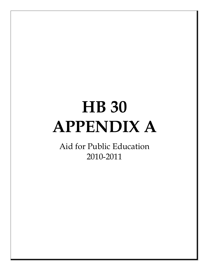# **HB 30 APPENDIX A**

Aid for Public Education 2010-2011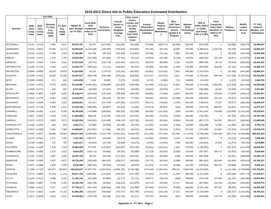## **2008-2010 Comp. Index 2010-2012 Comp. Index Revised FY 2010 Proj. Unadj. ADMFY 2011 Proj. Unadj. ADM**ACCOMACK 0.3752 0.3753 4,885 4,827 **28,015,787** 25,470 (141,483) (191,945) (163,485) (75,982) (100,717) (33,980) 336,000 (914,258) 0 (69,388) (296,472) **26,389,547** ALBEMARLE 0.6232 0.6872 12,656 12,773 **44,394,645** (5,228,328) (169,356) (224,602) (204,955) (63,160) (94,142) 18,088 752,000 (1,090,811) 5,228,328 (91,936) (416,583) **42,809,187** ALLEGHANY 0.2210 0.2151 2,789 2,780 **17,392,992** 131,706 (96,281) (122,489) (113,814) (43,996) (70,124) 6,800 334,000 (616,316) 0 (50,204) (186,706) **16,565,569** AMELIA 0.3206 0.3472 1,799 1,785 **10,024,428** (322,339) (51,866) (70,791) (61,310) (24,903) (28,168) (5,128) 128,000 (328,532) 322,339 (26,817) (114,578) **9,440,336** AMHERST 0.2642 0.2664 4,418 4,351 **27,327,518** (36,741) (142,179) (210,454) (164,775) (68,223) (96,950) 1,164 310,000 (889,100) 36,741 (73,444) (509,455) **25,484,101** APPOMATTOX 0.2436 0.2732 2,190 2,219 **14,205,737** (466,192) (71,141) (106,994) (82,451) (48,989) (50,168) (1,395) 154,000 (459,686) 466,192 (37,101) (121,636) **13,380,176** ARLINGTON 0.8000 0.8000 19,220 19,819 **47,625,800** 38,210 (173,072) (216,193) (200,587) (26,961) (122,052) 2,810 830,000 (1,313,023) 0 (91,206) (454,389) **45,899,337** AUGUSTA 0.3299 0.3416 10,509 10,390 **54,297,527** (699,708) (293,349) (375,225) (348,033) (137,227) (197,872) 5,801 674,000 (1,783,092) 699,708 (157,400) (1,252,645) **50,432,485** BATH 0.8000 0.8000 671 646 **1,613,838** 1,245 (6,082) (7,375) (6,853) (4,707) (2,960) 723 128,000 (42,432) 0 (2,972) (23,656) **1,646,769** BEDFORD 0.3494 0.4076 9,743 9,656 **47,219,087** (3,464,291) (239,099) (324,805) (290,565) (91,356) (130,312) 21,845 596,000 (1,472,009) 3,464,291 (131,628) (617,249) **44,539,909** BLAND 0.2608 0.2724 919 920 **5,371,264** (66,093) (27,945) (37,872) (33,880) (10,652) (20,618) 1,174 154,000 (185,965) 66,093 (15,409) (121,216) **5,072,881** BOTETOURT 0.3606 0.3682 4,990 5,062 **25,119,276** (208,454) (135,195) (188,918) (160,405) (56,835) (71,944) 19,965 362,000 (861,801) 208,454 (73,584) (348,511) **23,604,047** BRUNSWICK 0.2616 0.2728 2,063 2,059 **14,543,252** (184,116) (68,112) (92,532) (77,054) (49,452) (48,452) (18,896) 232,000 (490,263) 184,116 (34,451) (121,505) **13,774,535** BUCHANAN 0.2824 0.2849 3,268 3,262 **20,053,521** (37,417) (107,678) (197,263) (121,974) (60,271) (76,654) (2,252) 310,000 (708,875) 37,417 (53,677) (188,530) **18,846,347** BUCKINGHAM 0.2414 0.2738 1,938 1,921 **13,194,768** (469,200) (65,857) (81,528) (74,402) (34,579) (45,837) (535) 206,000 (443,478) 469,200 (32,093) (145,222) **12,477,237** CAMPBELL 0.2340 0.2491 8,312 8,208 **48,765,630** (743,808) (260,854) (365,325) (315,546) (99,200) (141,553) (300) 414,000 (1,631,345) 743,808 (141,835) (1,013,165) **45,210,507** CAROLINE 0.3817 0.3580 4,139 4,165 **21,566,668** 689,208 (118,221) (150,414) (137,016) (59,498) (75,153) (4,638) 206,000 (753,782) 0 (61,526) (354,270) **20,747,358** CARROLL 0.2470 0.2573 3,903 3,871 **23,282,054** (246,592) (124,549) (168,115) (150,745) (58,291) (92,864) (6,684) 362,000 (807,177) 246,592 (66,147) (288,854) **21,880,628** CHARLES CITY 0.4162 0.4203 839 829 **4,932,271** (23,966) (22,826) (31,299) (25,792) (13,505) (13,363) (1,284) 128,000 (156,288) 23,966 (11,064) (48,146) **4,736,704** CHARLOTTE 0.2017 0.2289 2,081 2,095 **14,289,691** (413,981) (71,849) (96,181) (83,074) (44,381) (52,216) (1,652) 232,000 (472,988) 413,981 (37,184) (121,587) **13,540,579** CHESTERFIELD 0.3447 0.3551 58,680 59,081 **284,817,404** (3,400,940) (1,579,745) (1,991,821) (1,919,265) (411,428) (707,355) 142,365 1,714,000 (9,706,099) 3,400,940 (876,714) (4,028,980) **265,452,363** CLARKE 0.6112 0.5346 2,172 2,169 **7,311,495** 1,080,073 (42,666) (55,574) (50,623) (18,949) (20,681) 5,240 154,000 (269,527) 0 (23,225) (131,480) **7,938,083** CRAIG 0.2790 0.2903 715 733 **4,421,017** (53,515) (22,738) (30,508) (26,879) (5,649) (14,453) (786) 102,000 (154,923) 53,515 (11,974) (39,223) **4,215,884** CULPEPER 0.4340 0.4168 7,419 7,544 **33,884,508** 872,429 (178,812) (262,687) (223,042) (65,661) (104,521) 2,395 310,000 (1,180,803) 0 (101,247) (414,208) **32,538,351** CUMBERLAND 0.2601 0.2805 1,419 1,414 **9,016,202** (200,712) (45,666) (54,934) (53,986) (27,213) (33,262) (3,263) 128,000 (287,357) 200,712 (23,414) (86,056) **8,529,050** DICKENSON 0.1957 0.1940 2,467 2,485 **16,337,755** 49,575 (89,193) (113,481) (105,438) (53,149) (64,964) (336) 258,000 (587,583) 0 (46,081) (188,928) **15,396,176** DINWIDDIE 0.2462 0.2566 4,697 4,817 **28,776,266** (302,930) (364,322) (208,227) (183,015) (78,779) (85,002) (3,698) 258,000 (981,602) 302,930 (81,684) (339,610) **26,708,327** ESSEX 0.4071 0.4869 1,603 1,598 **9,016,468** (990,753) (36,355) (47,819) (43,555) (21,524) (27,376) (6,386) 154,000 (239,563) 990,753 (18,868) (66,901) **8,662,121** FAIRFAX 0.7650 0.7126 165,917 168,633 **433,234,637** 61,807,753 (2,052,970) (2,868,795) (2,435,799) (473,448) (1,092,491) 208,415 5,094,000 (14,813,848) 0 (1,115,183) (4,708,850) **470,783,421** FAUQUIER 0.6711 0.6098 11,126 11,144 **35,071,794** 4,396,964 (176,204) (255,927) (217,309) (72,634) (71,370) 21,458 596,000 (1,222,293) 0 (100,085) (537,177) **37,433,217** FLOYD 0.3234 0.3470 2,068 2,076 **11,491,133** (322,395) (57,983) (72,771) (70,172) (40,877) (39,110) (586) 180,000 (376,379) 322,395 (31,197) (166,494) **10,815,564** FLUVANNA 0.3685 0.3867 3,708 3,760 **19,140,790** (432,740) (95,992) (156,623) (113,979) (54,213) (55,594) 14,707 258,000 (607,992) 432,740 (53,064) (246,262) **18,029,778** FRANKLIN 0.3885 0.4012 7,227 7,219 **37,736,217** (592,335) (186,540) (265,729) (221,868) (87,488) (135,021) (6,389) 466,000 (1,232,106) 592,335 (99,482) (415,336) **35,552,258** FREDERICK 0.4119 0.3816 12,951 13,102 **61,882,266** 2,615,833 (343,665) (472,077) (407,750) (136,321) (142,125) 17,516 544,000 (2,192,894) 0 (186,427) (1,413,035) **59,765,321** GILES 0.2571 0.2649 2,553 2,537 **15,343,853** (118,743) (82,234) (102,736) (97,217) (33,767) (48,467) (947) 180,000 (546,648) 118,743 (42,909) (242,498) **14,326,431 Division**n 2010 2012 FY 2010 Proj. Intro-Budget Composite Technical | Linear | Carl School Bus | Carl Governors | VPSA | Carl The Hold | Reduce | Reduce | Reduce | Reduce | Reduce |<br>| Reduce | Replacement | Octool | Technology | 20.6%, | Harmless @ Textbooks **FY 2011 Adopted Budget - Est. DistributionModify Lottery Service Area Include Zeroes in Linear Weighted Average Calc.Elim. travel, leases, rentals, and non-pers. facility support from SOQ Support CostsFund Composite Index Hold Harmless @ 100% in FY 2011Restore VPSA Technology NotesVRS @ 3.93%, RHCC @ 0.60%, and Group Life @ 0.28%Extend School Bus Replacemen ScheduleModify Federal Deduct Methodolog y Misc - SOP, New Governors School, Update K-3 Program HB/SB 30Intro. Budget for FY 2011Fund 2010-2012 Composite Index in FY 2011Key Data**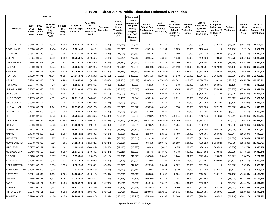## **2008-2010 Comp. Index 2010-2012 Comp. Index Revised FY 2010 Proj. Unadj. ADMFY 2011 Proj. Unadj. ADMDivision**n 2010 2012 FY 2010 Proj. Intro-Budget Composite Technical | Linear | Carl School Bus | Carl Governors | VPSA | Carl The Hold | Reduce | Reduce | Reduce | Reduce | Reduce | Reduce | Reduce | Reduce | Reduce | Reduce | Reduce | Reduce | Reduce | Reduce | Reduce | Reduce | Reduce | **FY 2011 Adopted Budget - Est. DistributionModify Lottery Service Area Include Zeroes in Linear Weighted Average Calc.Elim. travel, leases, rentals, and non-pers. facility support from SOQ Support CostsFund Composite Index Hold Harmless @ 100% in FY 2011Restore VPSA Technology NotesVRS @ 3.93%, RHCC @ 0.60%, and Group Life @ 0.28%Extend School Bus Replacement ScheduleModify Federal Deduct Methodolog y Misc - SOP, New Governors School, Update K-3 Program HB/SB 30Intro. Budget for FY 2011Fund 2010-2012 Composite Index in FY 2011Key Data** GLOUCESTER 0.3456 0.3704 5,896 5,892 **29,440,742** (873,212) (150,480) (227,979) (187,215) (77,575) (95,215) 4,346 310,000 (930,217) 873,212 (85,368) (596,372) **27,404,667** GOOCHLAND 0.8000 0.8000 2,454 2,496 **5,821,456** 4,812 (21,651) (26,543) (25,093) (13,910) (11,254) 2,005 180,000 (138,440) 0 (11,486) (72,216) **5,687,680** GRAYSON 0.2607 0.3178 1,922 1,866 **12,637,128** (812,527) (60,646) (71,088) (68,559) (38,578) (35,499) 7,059 310,000 (413,138) 812,527 (29,290) (227,318) **12,010,070** GREENE 0.3224 0.3500 2,690 2,659 **16,735,605** (579,568) (75,687) (797,644) (87,712) (39,845) (46,363) 1,048 180,000 (499,528) 579,568 (39,773) (384,195) **14,945,906** GREENSVILLE 0.1895 0.1998 1,551 1,533 **10,710,183** (107,609) (56,894) (73,680) (67,247) (23,348) (41,432) (13,090) 154,000 (345,304) 107,609 (28,230) (145,232) **10,069,726** HALIFAX 0.2380 0.2748 5,674 5,641 **36,958,726** (1,487,093) (193,320) (243,618) (218,385) (88,708) (134,558) (11,510) 284,000 (1,248,751) 1,487,093 (94,135) (379,898) **34,629,842** HANOVER 0.4118 0.4195 18,446 18,310 **81,169,943** (742,523) (450,560) (586,879) (534,540) (189,446) (164,936) 73,752 648,000 (2,771,950) 742,523 (244,576) (1,104,682) **75,844,126** HENRICO 0.4319 0.4371 48,347 48,655 **224,645,901** (1,364,288) (1,135,719) (1,408,526) (1,383,872) (296,714) (620,826) 54,540 1,818,000 (7,344,536) 1,364,288 (630,306) (2,601,744) **211,096,197** HENRY 0.2304 0.2315 7,092 6,983 **45,405,599** (6,339) (236,696) (319,301) (286,478) (110,741) (176,586) (19,781) 518,000 (1,514,758) 6,339 (123,473) (645,574) **42,490,211** HIGHLAND 0.6774 0.7846 245 233 **1,582,742** (104,845) (7,882) (8,492) (8,338) (5,113) (4,945) 378 102,000 (25,468) 104,845 (1,155) (8,634) **1,615,093** ISLE OF WIGHT 0.3697 0.3926 5,361 5,388 **27,726,608** (774,454) (139,503) (198,245) (165,517) (65,263) (90,786) (585) 284,000 (877,076) 774,454 (75,305) (370,668) **26,027,660** JAMES CITY 0.5286 0.5668 9,702 9,864 **38,377,131** (2,341,737) (181,419) (219,082) (215,250) (59,053) (83,634) 17,843 0 (1,130,297) 2,341,737 (98,326) (453,393) **35,954,520** KING GEORGE 0.4075 0.3875 4,039 4,116 **18,811,199** 540,443 (107,078) (139,467) (127,044) (45,014) (44,283) 3,611 180,000 (642,453) 0 (58,013) (469,556) **17,902,345** KING & QUEEN 0.3868 0.4404 727 707 **4,372,237** (306,206) (19,327) (25,633) (21,832) (13,567) (13,451) (4,112) 128,000 (124,988) 306,206 (9,105) (52,293) **4,215,929** KING WILLIAM 0.2918 0.3291 2,149 2,176 **12,395,796** (537,170) (59,387) (75,640) (70,522) (35,094) (40,246) 1,558 180,000 (433,106) 537,170 (33,598) (280,676) **11,549,085** LANCASTER 0.7824 0.8000 1,318 1,302 **3,289,644** (152,426) (11,778) (14,985) (13,650) (5,109) (8,581) (1,033) 128,000 (73,201) 152,426 (5,993) (23,265) **3,260,049** LEE 0.1552 0.1692 3,375 3,334 **26,726,746** (361,360) (135,447) (202,188) (152,653) (72,532) (92,225) (20,874) 388,000 (943,146) 361,360 (63,741) (349,686) **25,082,254** LOUDOUN 0.6708 0.5854 59,345 62,696 **185,923,242** 34,496,120 (1,061,345) (1,312,820) (1,289,861) (302,285) (397,982) 179,159 1,974,000 (7,367,328) 0 (592,493) (2,295,200) **207,953,207** LOUISA 0.5396 0.5393 4,528 4,529 **17,929,276** 28,714 (86,749) (120,888) (106,251) (37,652) (54,043) (1,784) 180,000 (563,810) 0 (48,025) (227,080) **16,891,707** LUNENBURG 0.2132 0.2308 1,564 1,528 **10,568,377** (190,732) (55,499) (66,536) (64,140) (36,083) (39,527) (8,847) 154,000 (345,202) 190,732 (27,040) (174,712) **9,904,792** MADISON 0.4878 0.5205 1,814 1,807 **8,095,923** (394,686) (36,537) (48,885) (43,735) (22,497) (23,119) 1,480 154,000 (248,765) 394,686 (19,944) (161,397) **7,646,524** MATHEWS 0.5337 0.5883 1,237 1,223 **4,994,445** (440,622) (21,242) (28,036) (25,541) (12,626) (13,500) 971 128,000 (141,063) 440,622 (11,589) (97,602) **4,772,217** MECKLENBURG 0.2848 0.3315 4,628 4,601 **27,525,652** (1,516,329) (138,347) (179,232) (163,559) (66,418) (100,763) (13,259) 284,000 (895,228) 1,516,329 (70,778) (285,292) **25,896,777** MIDDLESEX 0.6777 0.7431 1,195 1,161 **3,694,452** (509,519) (12,465) (17,147) (15,337) (6,048) (9,640) (155) 128,000 (86,149) 509,519 (6,868) (33,274) **3,635,369** MONTGOMERY 0.3496 0.3550 9,555 9,580 **51,071,741** (279,563) (262,547) (372,815) (311,283) (72,776) (176,908) (6,743) 596,000 (1,764,662) 279,563 (142,208) (744,352) **47,813,448** NELSON 0.5708 0.5734 1,887 1,856 **7,573,081** (25,073) (35,213) (52,952) (41,621) (16,905) (25,647) (1,244) 154,000 (222,484) 25,073 (18,221) (75,477) **7,237,317** NEW KENT 0.4066 0.4312 2,782 2,835 **13,036,564** (419,908) (68,182) (90,424) (80,896) (41,604) (31,431) 9,428 154,000 (424,881) 419,908 (37,101) (186,215) **12,239,259** NORTHAMPTON 0.5482 0.5109 1,686 1,635 **8,182,369** 524,586 (36,607) (73,910) (42,440) (32,093) (26,664) (6,902) 180,000 (251,030) 0 (18,398) (98,539) **8,300,371** NORTHUMBERLAND 0.7306 0.8000 1,365 1,331 **3,918,282** (623,215) (11,594) (15,649) (13,748) (7,897) (8,637) (320) 154,000 (73,399) 623,215 (6,123) (29,310) **3,905,605** NOTTOWAY 0.2221 0.2547 2,180 2,169 **14,928,047** (518,117) (72,091) (86,262) (81,613) (35,285) (51,368) (5,324) 258,000 (516,961) 518,117 (37,198) (145,244) **14,154,701** ORANGE 0.4395 0.4258 5,113 5,153 **22,243,627** 467,630 (120,194) (170,524) (149,876) (59,105) (61,244) (88) 258,000 (762,655) 0 (68,098) (434,843) **21,142,630** PAGE 0.3263 0.3181 3,467 3,435 **19,128,778** 220,181 (101,702) (142,123) (120,680) (54,819) (73,422) (4,984) 284,000 (629,757) 0 (53,896) (244,425) **18,207,151** PATRICK 0.2392 0.2439 2,497 2,474 **15,537,730** (63,166) (83,921) (114,548) (97,275) (48,067) (61,124) (250) 232,000 (543,364) 63,166 (43,043) (193,145) **14,584,994** PITTSYLVANIA 0.2245 0.2401 8,956 8,992 **56,204,563** (896,895) (300,950) (438,725) (348,800) (123,666) (219,213) (16,041) 544,000 (1,990,755) 896,895 (157,219) (513,048) **52,640,145** POWHATAN 0.3790 0.3969 4,420 4,450 **20,996,018** (460,520) (112,199) (146,143) (133,142) (55,180) (46,307) 22,380 232,000 (710,891) 460,520 (61,748) (202,317) **19,782,472**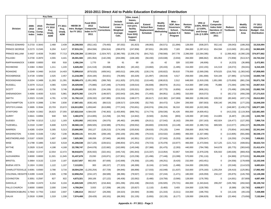## **2008-2010 Comp. Index 2010-2012 Comp. Index Revised FY 2010 Proj. Unadj. ADMFY 2011 Proj. Unadj. ADMDivision**n 2010 2012 FY 2010 Proj. Intro-Budget Composite Technical | Linear | Carl School Bus | Carl Governors | VPSA | Carl The Hold | Reduce | Reduce | Reduce | Reduce | Reduce | Reduce | Reduce | Reduce | Reduce | Reduce | Reduce | Reduce | Reduce | Reduce | Reduce | Reduce | Reduce | **FY 2011 Adopted Budget - Est. DistributionModify Lottery Service Area Include Zeroes in Linear Weighted Average Calc.Elim. travel, leases, rentals, and non-pers. facility support from SOQ Support CostsFund Composite Index Hold Harmless @ 100% in FY 2011Restore VPSA Technology NotesVRS @ 3.93%, RHCC @ 0.60%, and Group Life @ 0.28%Extend School Bus Replacement ScheduleModify Federal Deduct Methodolog y Misc - SOP, New Governors School, Update K-3 Program HB/SB 30Intro. Budget for FY 2011Fund 2010-2012 Composite Index in FY 2011Key Data** PRINCE EDWARD 0.2733 0.3043 2,468 2,439 **16,308,503** (552,142) (79,493) (97,032) (91,823) (48,083) (56,571) (11,894) 128,000 (508,207) 552,142 (39,043) (188,263) **15,316,094** PRINCE GEORGE 0.2173 0.2345 6,204 6,417 **37,915,151** (654,594) (204,914) (296,870) (247,858) (87,831) (96,320) 7,183 284,000 (1,287,411) 654,594 (113,040) (911,481) **34,960,609** PRINCE WILLIAM 0.4437 0.4036 74,883 77,713 **376,330,394** 22,989,524 (1,924,767) (2,380,790) (2,339,176) (641,752) (768,566) 247,778 2,286,000 (13,364,395) 0 (1,066,462) (4,390,126) **374,977,662** PULASKI 0.2730 0.2870 4,555 4,441 **26,591,583** (401,954) (142,236) (204,086) (168,180) (58,430) (103,638) (3,934) 284,000 (886,662) 401,954 (72,858) (513,317) **24,722,242** RAPPAHANNOCK 0.8000 0.8000 930 918 **2,456,194** 1,770 59 61 69 (4) 42 328 102,000 (46,606) 0 (4,223) (36,889) **2,472,801** RICHMOND 0.3384 0.3562 1,211 1,220 **6,628,492** (141,519) (33,868) (56,962) (40,182) (19,860) (20,433) (1,485) 154,000 (222,155) 141,519 (18,072) (59,041) **6,310,435** ROANOKE 0.3349 0.3460 14,516 14,403 **72,899,610** (879,525) (409,541) (483,012) (484,105) (130,174) (193,822) 50,610 778,000 (2,569,208) 879,525 (216,750) (1,383,542) **67,858,065** ROCKBRIDGE 0.4728 0.5050 2,525 2,457 **11,218,389** (534,184) (54,821) (78,065) (63,329) (21,997) (39,019) 4,517 258,000 (361,908) 534,184 (27,985) (173,034) **10,660,748** ROCKINGHAM 0.3204 0.3489 11,393 11,391 **59,589,473** (1,951,995) (308,760) (411,925) (375,232) (110,445) (190,813) 2,512 648,000 (1,919,159) 1,951,995 (170,659) (881,234) **55,871,758** RUSSELL 0.2079 0.2113 4,065 4,044 **26,429,940** (75,886) (137,248) (174,643) (159,014) (56,608) (99,974) (9,151) 414,000 (987,248) 75,886 (73,394) (288,745) **24,857,915** SCOTT 0.1849 0.1821 3,756 3,746 **25,293,885** 102,355 (134,159) (211,202) (155,521) (58,072) (97,775) (4,856) 414,000 (906,191) 0 (70,496) (289,268) **23,882,700** SHENANDOAH 0.4056 0.4030 6,015 5,981 **28,875,392** 134,379 (148,937) (202,643) (181,284) (71,493) (84,951) (1,065) 310,000 (919,372) 0 (82,172) (456,239) **27,171,615** SMYTH 0.2023 0.2100 4,791 4,728 **31,792,113** (228,332) (167,995) (229,316) (198,577) (80,617) (122,382) (147,069) 388,000 (1,098,240) 228,332 (85,940) (437,174) **29,612,803** SOUTHAMPTON 0.2578 0.2896 2,784 2,830 **17,867,431** (638,140) (88,513) (108,517) (104,636) (52,750) (64,472) 5,204 206,000 (587,003) 638,140 (46,259) (177,225) **16,849,259** SPOTSYLVANIA 0.3695 0.3594 23,703 23,672 **116,913,955** 1,659,840 (613,899) (777,243) (763,651) (240,074) (266,224) 36,310 830,000 (4,022,369) 0 (348,987) (2,430,273) **109,977,385** STAFFORD 0.3629 0.3362 26,623 27,055 **127,822,516** 4,584,035 (740,363) (1,455,900) (899,791) (174,774) (259,536) 91,426 856,000 (4,609,451) 0 (413,233) (2,119,364) **122,681,565** SURRY 0.6641 0.6956 948 926 **3,402,078** (214,805) (12,258) (15,783) (14,942) (9,583) (9,204) (893) 128,000 (87,040) 214,805 (6,487) (30,108) **3,343,780** SUSSEX 0.2799 0.3213 1,212 1,183 **8,253,082** (402,924) (39,575) (45,482) (44,689) (26,011) (27,542) (6,162) 206,000 (257,163) 402,924 (18,477) (127,265) **7,866,716** TAZEWELL 0.2318 0.2487 6,608 6,570 **38,560,133** (689,505) (219,588) (279,351) (259,552) (69,800) (159,919) (13,149) 440,000 (1,389,716) 689,505 (113,577) (456,227) **36,039,255** WARREN 0.4285 0.4204 5,305 5,313 **23,666,993** 293,127 (128,213) (174,169) (155,816) (39,633) (76,120) 2,444 258,000 (818,749) 0 (70,854) (415,966) **22,341,044** WASHINGTON 0.3340 0.3166 7,252 7,236 **38,260,131** 844,265 (208,146) (292,100) (252,286) (79,315) (153,532) (3,890) 466,000 (1,327,486) 0 (113,805) (591,666) **36,548,170** WESTMORELAND 0.5167 0.5020 1,697 1,680 **7,625,365** 188,058 (37,940) (46,930) (42,951) (23,871) (27,043) (5,203) 180,000 (256,047) 0 (19,250) (74,366) **7,459,821** WISE 0.1798 0.1885 6,522 6,518 **41,208,538** (317,125) (228,621) (286,854) (271,253) (79,723) (170,478) (10,977) 466,000 (1,473,594) 317,125 (121,712) (408,601) **38,622,724** WYTHE 0.2929 0.3142 4,198 4,168 **22,788,747** (544,678) (122,682) (162,690) (145,548) (57,388) (91,475) (2,283) 440,000 (784,788) 544,678 (65,775) (383,643) **21,412,474** YORK 0.3632 0.3727 12,554 12,472 **58,918,872** (635,502) (322,441) (445,716) (391,843) (115,337) (113,054) 53,957 544,000 (1,979,229) 635,502 (180,028) (869,453) **55,099,729** ALEXANDRIA 0.8000 0.8000 11,501 11,945 **31,437,678** 23,030 (103,871) (127,901) (123,238) (21,496) (77,448) (13,399) 570,000 (781,116) 0 (54,969) (270,631) **30,456,639** BRISTOL 0.3664 0.3132 2,219 2,187 **13,017,657** 882,055 (67,606) (142,668) (78,358) (15,185) (49,251) (9,420) 232,000 (453,451) 0 (34,558) (178,669) **13,102,546** BUENA VISTA 0.1924 0.1932 1,122 1,107 **7,113,931** 383 (40,157) (77,323) (46,399) (6,104) (17,643) (1,488) 154,000 (260,505) 0 (20,548) (114,523) **6,683,624** CHARLOTTESVILLE 0.6091 0.6560 3,788 3,716 **18,504,234** (1,255,254) (57,729) (94,846) (66,898) (17,033) (42,048) (11,637) 310,000 (376,160) 1,255,254 (29,410) (125,981) **17,992,492** COLONIAL HEIGHT 0.4289 0.4428 2,826 2,798 **12,858,254** (234,137) (68,589) (98,396) (79,507) (17,042) (37,244) (1,471) 180,000 (426,059) 234,137 (35,875) (145,783) **12,128,288** COVINGTON 0.3051 0.2597 827 822 **4,673,321** 269,106 (27,122) (46,438) (32,062) (5,480) (19,756) (3,566) 128,000 (176,785) 0 (14,001) (57,809) **4,687,409** DANVILLE 0.2394 0.2470 6,154 6,104 **41,600,528** (299,297) (218,464) (301,296) (252,438) (58,010) (155,505) (70,721) 466,000 (1,343,644) 299,297 (105,766) (450,942) **39,109,742** FALLS CHURCH 0.8000 0.8000 2,000 2,040 **4,759,264** 3,933 (17,209) (48,135) (20,827) (1,110) (5,483) 3,403 154,000 (128,780) 0 (9,389) (30,790) **4,658,877** FREDERICKSBURG 0.7943 0.7763 2,810 2,937 **7,286,613** 392,617 (29,266) (34,523) (34,594) (9,306) (21,315) (3,311) 154,000 (196,755) 0 (15,119) (49,143) **7,439,898** GALAX 0.2618 0.2695 1,319 1,338 **7,574,408** (59,429) (43,101) (68,393) (51,135) (5,855) (32,135) (6,177) 128,000 (266,629) 59,429 (22,484) (73,656) **7,132,844**